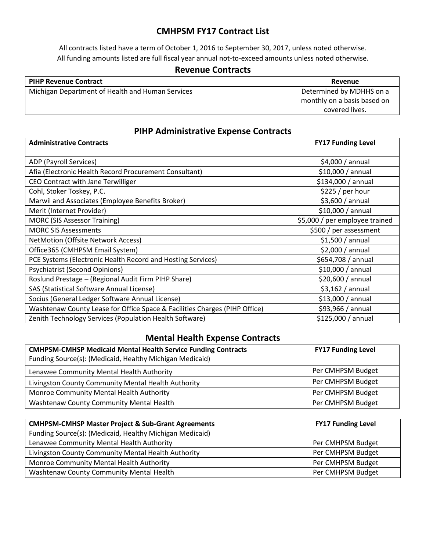## **CMHPSM FY17 Contract List**

All contracts listed have a term of October 1, 2016 to September 30, 2017, unless noted otherwise. All funding amounts listed are full fiscal year annual not-to-exceed amounts unless noted otherwise.

### **Revenue Contracts**

| <b>PIHP Revenue Contract</b>                     | Revenue                     |
|--------------------------------------------------|-----------------------------|
| Michigan Department of Health and Human Services | Determined by MDHHS on a    |
|                                                  | monthly on a basis based on |
|                                                  | covered lives.              |

#### **PIHP Administrative Expense Contracts**

| <b>Administrative Contracts</b>                                                   | <b>FY17 Funding Level</b>      |
|-----------------------------------------------------------------------------------|--------------------------------|
| ADP (Payroll Services)                                                            | \$4,000 / annual               |
| Afia (Electronic Health Record Procurement Consultant)                            | \$10,000 / annual              |
| CEO Contract with Jane Terwilliger                                                | \$134,000 / annual             |
| Cohl, Stoker Toskey, P.C.                                                         | \$225/per hour                 |
| Marwil and Associates (Employee Benefits Broker)<br>$$3,600 /$ annual             |                                |
| Merit (Internet Provider)                                                         | \$10,000 / annual              |
| <b>MORC (SIS Assessor Training)</b>                                               | \$5,000 / per employee trained |
| <b>MORC SIS Assessments</b>                                                       | \$500 / per assessment         |
| NetMotion (Offsite Network Access)                                                | $$1,500/$ annual               |
| Office365 (CMHPSM Email System)                                                   | \$2,000 / annual               |
| PCE Systems (Electronic Health Record and Hosting Services)<br>\$654,708 / annual |                                |
| <b>Psychiatrist (Second Opinions)</b><br>\$10,000 / annual                        |                                |
| Roslund Prestage - (Regional Audit Firm PIHP Share)                               | \$20,600 / annual              |
| SAS (Statistical Software Annual License)                                         | \$3,162/annual                 |
| Socius (General Ledger Software Annual License)                                   | \$13,000 / annual              |
| Washtenaw County Lease for Office Space & Facilities Charges (PIHP Office)        | \$93,966 / annual              |
| Zenith Technology Services (Population Health Software)<br>\$125,000 / annual     |                                |

## **Mental Health Expense Contracts**

| <b>CMHPSM-CMHSP Medicaid Mental Health Service Funding Contracts</b><br>Funding Source(s): (Medicaid, Healthy Michigan Medicaid) | <b>FY17 Funding Level</b> |
|----------------------------------------------------------------------------------------------------------------------------------|---------------------------|
| Lenawee Community Mental Health Authority                                                                                        | Per CMHPSM Budget         |
| Livingston County Community Mental Health Authority                                                                              | Per CMHPSM Budget         |
| Monroe Community Mental Health Authority                                                                                         | Per CMHPSM Budget         |
| Washtenaw County Community Mental Health                                                                                         | Per CMHPSM Budget         |

| <b>CMHPSM-CMHSP Master Project &amp; Sub-Grant Agreements</b><br><b>FY17 Funding Level</b> |                   |
|--------------------------------------------------------------------------------------------|-------------------|
| Funding Source(s): (Medicaid, Healthy Michigan Medicaid)                                   |                   |
| Lenawee Community Mental Health Authority                                                  | Per CMHPSM Budget |
| Per CMHPSM Budget<br>Livingston County Community Mental Health Authority                   |                   |
| Monroe Community Mental Health Authority<br>Per CMHPSM Budget                              |                   |
| Per CMHPSM Budget<br>Washtenaw County Community Mental Health                              |                   |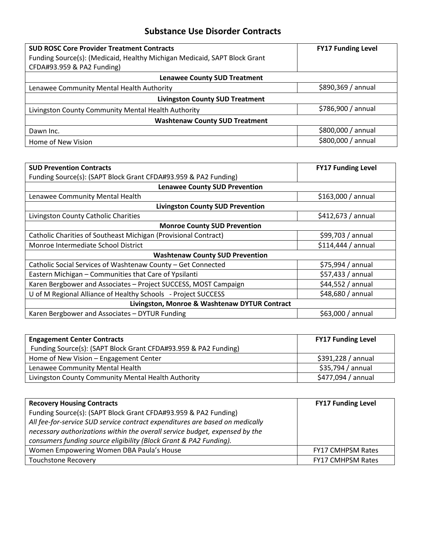## **Substance Use Disorder Contracts**

| <b>SUD ROSC Core Provider Treatment Contracts</b>                         | <b>FY17 Funding Level</b> |
|---------------------------------------------------------------------------|---------------------------|
| Funding Source(s): (Medicaid, Healthy Michigan Medicaid, SAPT Block Grant |                           |
| CFDA#93.959 & PA2 Funding)                                                |                           |
| <b>Lenawee County SUD Treatment</b>                                       |                           |
| Lenawee Community Mental Health Authority                                 | \$890,369 / annual        |
| <b>Livingston County SUD Treatment</b>                                    |                           |
| Livingston County Community Mental Health Authority                       | \$786,900 / annual        |
| <b>Washtenaw County SUD Treatment</b>                                     |                           |
| Dawn Inc.                                                                 | \$800,000 / annual        |
| Home of New Vision                                                        | \$800,000 / annual        |

| <b>SUD Prevention Contracts</b>                                 | <b>FY17 Funding Level</b> |  |
|-----------------------------------------------------------------|---------------------------|--|
| Funding Source(s): (SAPT Block Grant CFDA#93.959 & PA2 Funding) |                           |  |
| <b>Lenawee County SUD Prevention</b>                            |                           |  |
| Lenawee Community Mental Health                                 | \$163,000 / annual        |  |
| <b>Livingston County SUD Prevention</b>                         |                           |  |
| Livingston County Catholic Charities                            | \$412,673 / annual        |  |
| <b>Monroe County SUD Prevention</b>                             |                           |  |
| Catholic Charities of Southeast Michigan (Provisional Contract) | \$99,703 / annual         |  |
| Monroe Intermediate School District                             | \$114,444 / annual        |  |
| <b>Washtenaw County SUD Prevention</b>                          |                           |  |
| Catholic Social Services of Washtenaw County - Get Connected    | $$75,994/$ annual         |  |
| Eastern Michigan - Communities that Care of Ypsilanti           | $$57,433$ / annual        |  |
| Karen Bergbower and Associates - Project SUCCESS, MOST Campaign | \$44,552/annual           |  |
| U of M Regional Alliance of Healthy Schools - Project SUCCESS   | \$48,680 / annual         |  |
| Livingston, Monroe & Washtenaw DYTUR Contract                   |                           |  |
| Karen Bergbower and Associates - DYTUR Funding                  | $$63,000 /$ annual        |  |

| <b>Engagement Center Contracts</b>                              | <b>FY17 Funding Level</b> |
|-----------------------------------------------------------------|---------------------------|
| Funding Source(s): (SAPT Block Grant CFDA#93.959 & PA2 Funding) |                           |
| Home of New Vision - Engagement Center                          | \$391,228 / annual        |
| Lenawee Community Mental Health                                 | \$35,794 / annual         |
| Livingston County Community Mental Health Authority             | \$477,094 / annual        |

| <b>Recovery Housing Contracts</b>                                            | <b>FY17 Funding Level</b> |
|------------------------------------------------------------------------------|---------------------------|
| Funding Source(s): (SAPT Block Grant CFDA#93.959 & PA2 Funding)              |                           |
| All fee-for-service SUD service contract expenditures are based on medically |                           |
| necessary authorizations within the overall service budget, expensed by the  |                           |
| consumers funding source eligibility (Block Grant & PA2 Funding).            |                           |
| Women Empowering Women DBA Paula's House                                     | <b>FY17 CMHPSM Rates</b>  |
| <b>Touchstone Recovery</b>                                                   | <b>FY17 CMHPSM Rates</b>  |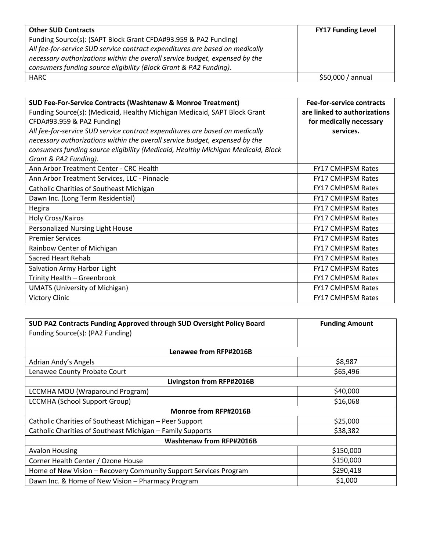| <b>Other SUD Contracts</b>                                                   | <b>FY17 Funding Level</b> |
|------------------------------------------------------------------------------|---------------------------|
| Funding Source(s): (SAPT Block Grant CFDA#93.959 & PA2 Funding)              |                           |
| All fee-for-service SUD service contract expenditures are based on medically |                           |
| necessary authorizations within the overall service budget, expensed by the  |                           |
| consumers funding source eligibility (Block Grant & PA2 Funding).            |                           |
| HARC                                                                         | \$50,000 / annual         |

| <b>SUD Fee-For-Service Contracts (Washtenaw &amp; Monroe Treatment)</b>          | <b>Fee-for-service contracts</b> |
|----------------------------------------------------------------------------------|----------------------------------|
| Funding Source(s): (Medicaid, Healthy Michigan Medicaid, SAPT Block Grant        | are linked to authorizations     |
| CFDA#93.959 & PA2 Funding)                                                       | for medically necessary          |
| All fee-for-service SUD service contract expenditures are based on medically     | services.                        |
| necessary authorizations within the overall service budget, expensed by the      |                                  |
| consumers funding source eligibility (Medicaid, Healthy Michigan Medicaid, Block |                                  |
| Grant & PA2 Funding).                                                            |                                  |
| Ann Arbor Treatment Center - CRC Health                                          | <b>FY17 CMHPSM Rates</b>         |
| Ann Arbor Treatment Services, LLC - Pinnacle                                     | <b>FY17 CMHPSM Rates</b>         |
| Catholic Charities of Southeast Michigan                                         | <b>FY17 CMHPSM Rates</b>         |
| Dawn Inc. (Long Term Residential)                                                | <b>FY17 CMHPSM Rates</b>         |
| Hegira                                                                           | <b>FY17 CMHPSM Rates</b>         |
| Holy Cross/Kairos                                                                | <b>FY17 CMHPSM Rates</b>         |
| Personalized Nursing Light House                                                 | <b>FY17 CMHPSM Rates</b>         |
| <b>Premier Services</b>                                                          | <b>FY17 CMHPSM Rates</b>         |
| Rainbow Center of Michigan                                                       | <b>FY17 CMHPSM Rates</b>         |
| Sacred Heart Rehab                                                               | <b>FY17 CMHPSM Rates</b>         |
| Salvation Army Harbor Light                                                      | <b>FY17 CMHPSM Rates</b>         |
| Trinity Health - Greenbrook                                                      | <b>FY17 CMHPSM Rates</b>         |
| <b>UMATS (University of Michigan)</b>                                            | FY17 CMHPSM Rates                |
| <b>Victory Clinic</b>                                                            | <b>FY17 CMHPSM Rates</b>         |

| SUD PA2 Contracts Funding Approved through SUD Oversight Policy Board         | <b>Funding Amount</b> |
|-------------------------------------------------------------------------------|-----------------------|
| Funding Source(s): (PA2 Funding)                                              |                       |
|                                                                               |                       |
| Lenawee from RFP#2016B                                                        |                       |
| Adrian Andy's Angels                                                          | \$8,987               |
| Lenawee County Probate Court                                                  | \$65,496              |
| Livingston from RFP#2016B                                                     |                       |
| LCCMHA MOU (Wraparound Program)                                               | \$40,000              |
| <b>LCCMHA (School Support Group)</b>                                          | \$16,068              |
| <b>Monroe from RFP#2016B</b>                                                  |                       |
| Catholic Charities of Southeast Michigan - Peer Support                       | \$25,000              |
| Catholic Charities of Southeast Michigan - Family Supports                    | \$38,382              |
| <b>Washtenaw from RFP#2016B</b>                                               |                       |
| <b>Avalon Housing</b>                                                         | \$150,000             |
| \$150,000<br>Corner Health Center / Ozone House                               |                       |
| \$290,418<br>Home of New Vision - Recovery Community Support Services Program |                       |
| \$1,000<br>Dawn Inc. & Home of New Vision - Pharmacy Program                  |                       |